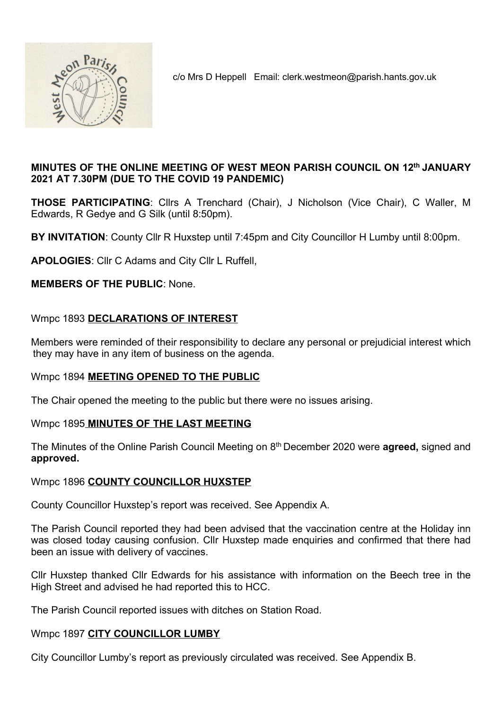

c/o Mrs D Heppell Email: clerk.westmeon@parish.hants.gov.uk

## MINUTES OF THE ONLINE MEETING OF WEST MEON PARISH COUNCIL ON 12th JANUARY 2021 AT 7.30PM (DUE TO THE COVID 19 PANDEMIC)

THOSE PARTICIPATING: Cllrs A Trenchard (Chair), J Nicholson (Vice Chair), C Waller, M Edwards, R Gedye and G Silk (until 8:50pm).

BY INVITATION: County Cllr R Huxstep until 7:45pm and City Councillor H Lumby until 8:00pm.

APOLOGIES: Cllr C Adams and City Cllr L Ruffell,

MEMBERS OF THE PUBLIC: None.

## Wmpc 1893 DECLARATIONS OF INTEREST

Members were reminded of their responsibility to declare any personal or prejudicial interest which they may have in any item of business on the agenda.

### Wmpc 1894 MEETING OPENED TO THE PUBLIC

The Chair opened the meeting to the public but there were no issues arising.

### Wmpc 1895 MINUTES OF THE LAST MEETING

The Minutes of the Online Parish Council Meeting on 8<sup>th</sup> December 2020 were **agreed**, signed and approved.

### Wmpc 1896 COUNTY COUNCILLOR HUXSTEP

County Councillor Huxstep's report was received. See Appendix A.

The Parish Council reported they had been advised that the vaccination centre at the Holiday inn was closed today causing confusion. Cllr Huxstep made enquiries and confirmed that there had been an issue with delivery of vaccines.

Cllr Huxstep thanked Cllr Edwards for his assistance with information on the Beech tree in the High Street and advised he had reported this to HCC.

The Parish Council reported issues with ditches on Station Road.

### Wmpc 1897 CITY COUNCILLOR LUMBY

City Councillor Lumby's report as previously circulated was received. See Appendix B.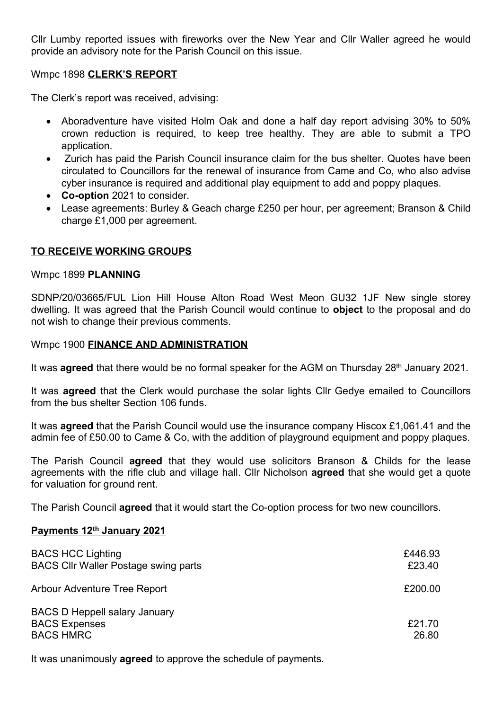Cllr Lumby reported issues with fireworks over the New Year and Cllr Waller agreed he would provide an advisory note for the Parish Council on this issue.

#### Wmpc 1898 CLERK'S REPORT

The Clerk's report was received, advising:

- Aboradventure have visited Holm Oak and done a half day report advising 30% to 50% crown reduction is required, to keep tree healthy. They are able to submit a TPO application.
- Zurich has paid the Parish Council insurance claim for the bus shelter. Quotes have been circulated to Councillors for the renewal of insurance from Came and Co, who also advise cyber insurance is required and additional play equipment to add and poppy plaques.
- Co-option 2021 to consider.
- Lease agreements: Burley & Geach charge £250 per hour, per agreement; Branson & Child charge £1,000 per agreement.

### TO RECEIVE WORKING GROUPS

#### Wmpc 1899 PLANNING

SDNP/20/03665/FUL Lion Hill House Alton Road West Meon GU32 1JF New single storey dwelling. It was agreed that the Parish Council would continue to **object** to the proposal and do not wish to change their previous comments.

Wmpc 1900 FINANCE AND ADMINISTRATION

It was **agreed** that there would be no formal speaker for the AGM on Thursday  $28<sup>th</sup>$  January 2021.

It was **agreed** that the Clerk would purchase the solar lights Cllr Gedye emailed to Councillors from the bus shelter Section 106 funds.

It was agreed that the Parish Council would use the insurance company Hiscox £1,061.41 and the admin fee of £50.00 to Came & Co, with the addition of playground equipment and poppy plaques.

The Parish Council **agreed** that they would use solicitors Branson & Childs for the lease agreements with the rifle club and village hall. Cllr Nicholson agreed that she would get a quote for valuation for ground rent.

The Parish Council **agreed** that it would start the Co-option process for two new councillors.

### Payments 12<sup>th</sup> January 2021

| <b>BACS HCC Lighting</b><br><b>BACS CIIr Waller Postage swing parts</b>          | £446.93<br>£23.40 |
|----------------------------------------------------------------------------------|-------------------|
| Arbour Adventure Tree Report                                                     | £200.00           |
| <b>BACS D Heppell salary January</b><br><b>BACS Expenses</b><br><b>BACS HMRC</b> | £21.70<br>26.80   |

It was unanimously **agreed** to approve the schedule of payments.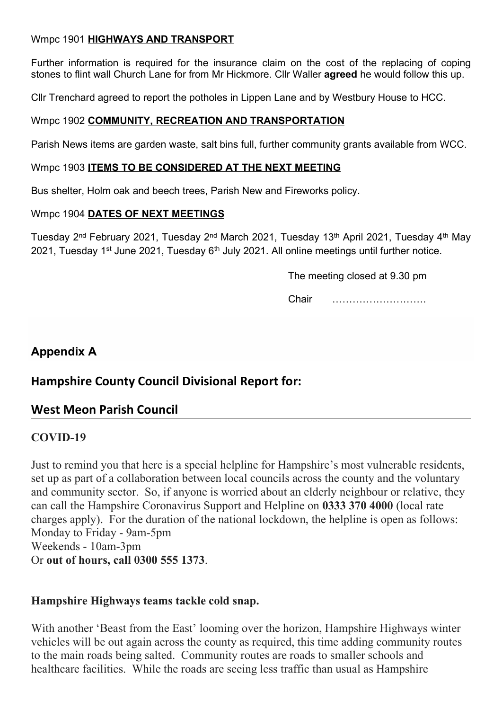# Wmpc 1901 **HIGHWAYS AND TRANSPORT**

Further information is required for the insurance claim on the cost of the replacing of coping stones to flint wall Church Lane for from Mr Hickmore. Cllr Waller agreed he would follow this up.

Cllr Trenchard agreed to report the potholes in Lippen Lane and by Westbury House to HCC.

# Wmpc 1902 COMMUNITY, RECREATION AND TRANSPORTATION

Parish News items are garden waste, salt bins full, further community grants available from WCC.

## Wmpc 1903 ITEMS TO BE CONSIDERED AT THE NEXT MEETING

Bus shelter, Holm oak and beech trees, Parish New and Fireworks policy.

## Wmpc 1904 DATES OF NEXT MEETINGS

Tuesday 2<sup>nd</sup> February 2021, Tuesday 2<sup>nd</sup> March 2021, Tuesday 13<sup>th</sup> April 2021, Tuesday 4<sup>th</sup> May 2021, Tuesday 1<sup>st</sup> June 2021, Tuesday 6<sup>th</sup> July 2021. All online meetings until further notice.

The meeting closed at 9.30 pm

Chair ……………………….

# Appendix A

# Hampshire County Council Divisional Report for:

# West Meon Parish Council

# COVID-19

Just to remind you that here is a special helpline for Hampshire's most vulnerable residents, set up as part of a collaboration between local councils across the county and the voluntary and community sector. So, if anyone is worried about an elderly neighbour or relative, they can call the Hampshire Coronavirus Support and Helpline on 0333 370 4000 (local rate charges apply). For the duration of the national lockdown, the helpline is open as follows: Monday to Friday - 9am-5pm Weekends - 10am-3pm Or out of hours, call 0300 555 1373.

# Hampshire Highways teams tackle cold snap.

With another 'Beast from the East' looming over the horizon, Hampshire Highways winter vehicles will be out again across the county as required, this time adding community routes to the main roads being salted. Community routes are roads to smaller schools and healthcare facilities. While the roads are seeing less traffic than usual as Hampshire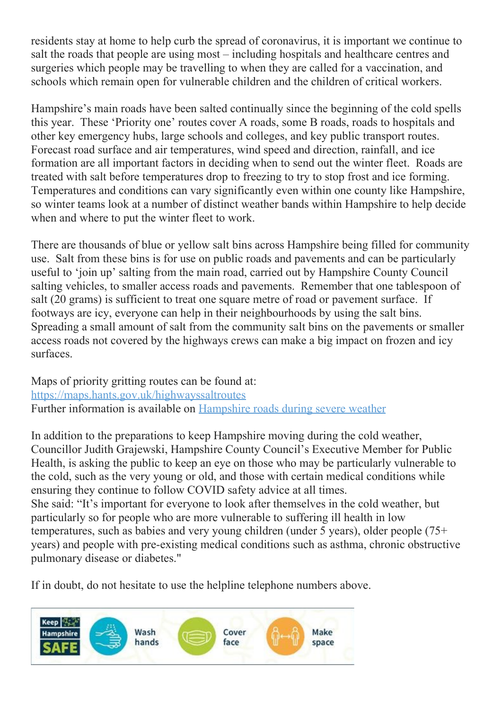residents stay at home to help curb the spread of coronavirus, it is important we continue to salt the roads that people are using most – including hospitals and healthcare centres and surgeries which people may be travelling to when they are called for a vaccination, and schools which remain open for vulnerable children and the children of critical workers.

Hampshire's main roads have been salted continually since the beginning of the cold spells this year. These 'Priority one' routes cover A roads, some B roads, roads to hospitals and other key emergency hubs, large schools and colleges, and key public transport routes. Forecast road surface and air temperatures, wind speed and direction, rainfall, and ice formation are all important factors in deciding when to send out the winter fleet. Roads are treated with salt before temperatures drop to freezing to try to stop frost and ice forming. Temperatures and conditions can vary significantly even within one county like Hampshire, so winter teams look at a number of distinct weather bands within Hampshire to help decide when and where to put the winter fleet to work.

There are thousands of blue or yellow salt bins across Hampshire being filled for community use. Salt from these bins is for use on public roads and pavements and can be particularly useful to 'join up' salting from the main road, carried out by Hampshire County Council salting vehicles, to smaller access roads and pavements. Remember that one tablespoon of salt (20 grams) is sufficient to treat one square metre of road or pavement surface. If footways are icy, everyone can help in their neighbourhoods by using the salt bins. Spreading a small amount of salt from the community salt bins on the pavements or smaller access roads not covered by the highways crews can make a big impact on frozen and icy surfaces.

Maps of priority gritting routes can be found at: https://maps.hants.gov.uk/highwayssaltroutes Further information is available on Hampshire roads during severe weather

In addition to the preparations to keep Hampshire moving during the cold weather, Councillor Judith Grajewski, Hampshire County Council's Executive Member for Public Health, is asking the public to keep an eye on those who may be particularly vulnerable to the cold, such as the very young or old, and those with certain medical conditions while ensuring they continue to follow COVID safety advice at all times. She said: "It's important for everyone to look after themselves in the cold weather, but particularly so for people who are more vulnerable to suffering ill health in low temperatures, such as babies and very young children (under 5 years), older people (75+ years) and people with pre-existing medical conditions such as asthma, chronic obstructive pulmonary disease or diabetes."

If in doubt, do not hesitate to use the helpline telephone numbers above.

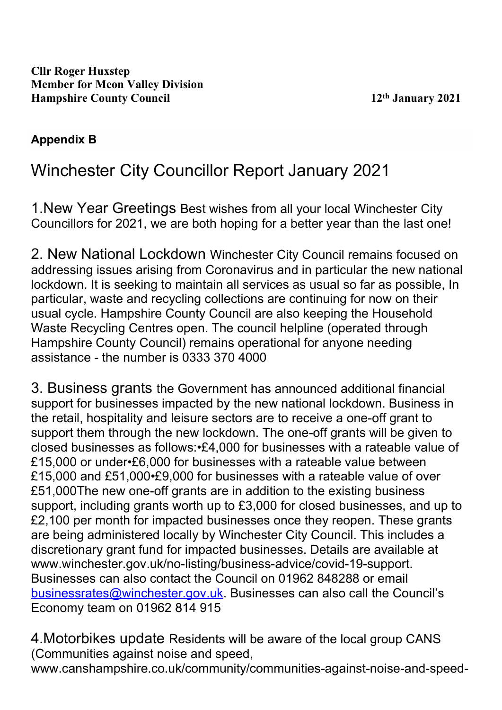# Appendix B

# Winchester City Councillor Report January 2021

1.New Year Greetings Best wishes from all your local Winchester City Councillors for 2021, we are both hoping for a better year than the last one!

2. New National Lockdown Winchester City Council remains focused on addressing issues arising from Coronavirus and in particular the new national lockdown. It is seeking to maintain all services as usual so far as possible, In particular, waste and recycling collections are continuing for now on their usual cycle. Hampshire County Council are also keeping the Household Waste Recycling Centres open. The council helpline (operated through Hampshire County Council) remains operational for anyone needing assistance - the number is 0333 370 4000

3. Business grants the Government has announced additional financial support for businesses impacted by the new national lockdown. Business in the retail, hospitality and leisure sectors are to receive a one-off grant to support them through the new lockdown. The one-off grants will be given to closed businesses as follows:•£4,000 for businesses with a rateable value of £15,000 or under•£6,000 for businesses with a rateable value between £15,000 and £51,000•£9,000 for businesses with a rateable value of over £51,000The new one-off grants are in addition to the existing business support, including grants worth up to £3,000 for closed businesses, and up to £2,100 per month for impacted businesses once they reopen. These grants are being administered locally by Winchester City Council. This includes a discretionary grant fund for impacted businesses. Details are available at www.winchester.gov.uk/no-listing/business-advice/covid-19-support. Businesses can also contact the Council on 01962 848288 or email businessrates@winchester.gov.uk. Businesses can also call the Council's Economy team on 01962 814 915

4.Motorbikes update Residents will be aware of the local group CANS (Communities against noise and speed, www.canshampshire.co.uk/community/communities-against-noise-and-speed-